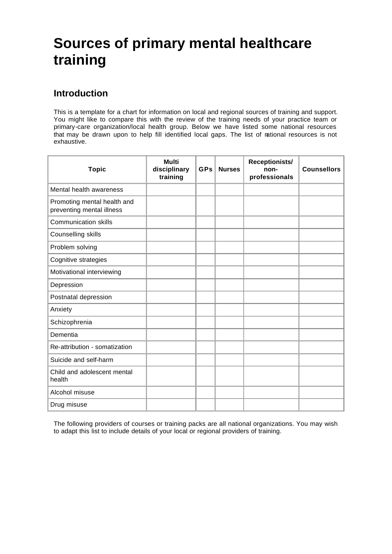## **Sources of primary mental healthcare training**

## **Introduction**

This is a template for a chart for information on local and regional sources of training and support. You might like to compare this with the review of the training needs of your practice team or primary-care organization/local health group. Below we have listed some national resources that may be drawn upon to help fill identified local gaps. The list of national resources is not exhaustive.

| <b>Topic</b>                                             | <b>Multi</b><br>disciplinary<br>training | <b>GPs</b> | <b>Nurses</b> | Receptionists/<br>non-<br>professionals | <b>Counsellors</b> |
|----------------------------------------------------------|------------------------------------------|------------|---------------|-----------------------------------------|--------------------|
| Mental health awareness                                  |                                          |            |               |                                         |                    |
| Promoting mental health and<br>preventing mental illness |                                          |            |               |                                         |                    |
| <b>Communication skills</b>                              |                                          |            |               |                                         |                    |
| Counselling skills                                       |                                          |            |               |                                         |                    |
| Problem solving                                          |                                          |            |               |                                         |                    |
| Cognitive strategies                                     |                                          |            |               |                                         |                    |
| Motivational interviewing                                |                                          |            |               |                                         |                    |
| Depression                                               |                                          |            |               |                                         |                    |
| Postnatal depression                                     |                                          |            |               |                                         |                    |
| Anxiety                                                  |                                          |            |               |                                         |                    |
| Schizophrenia                                            |                                          |            |               |                                         |                    |
| Dementia                                                 |                                          |            |               |                                         |                    |
| Re-attribution - somatization                            |                                          |            |               |                                         |                    |
| Suicide and self-harm                                    |                                          |            |               |                                         |                    |
| Child and adolescent mental<br>health                    |                                          |            |               |                                         |                    |
| Alcohol misuse                                           |                                          |            |               |                                         |                    |
| Drug misuse                                              |                                          |            |               |                                         |                    |

The following providers of courses or training packs are all national organizations. You may wish to adapt this list to include details of your local or regional providers of training.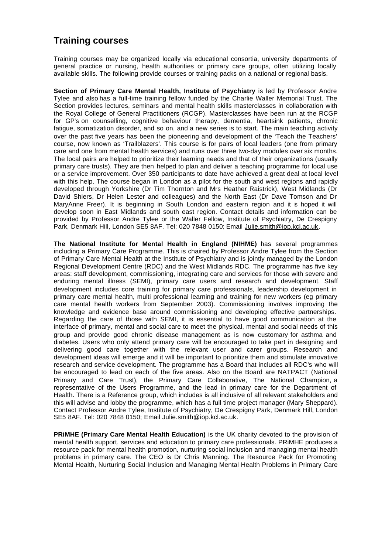## **Training courses**

Training courses may be organized locally via educational consortia, university departments of general practice or nursing, health authorities or primary care groups, often utilizing locally available skills. The following provide courses or training packs on a national or regional basis.

**Section of Primary Care Mental Health, Institute of Psychiatry** is led by Professor Andre Tylee and also has a full-time training fellow funded by the Charlie Waller Memorial Trust. The Section provides lectures, seminars and mental health skills masterclasses in collaboration with the Royal College of General Practitioners (RCGP). Masterclasses have been run at the RCGP for GP's on counselling, cognitive behaviour therapy, dementia, heartsink patients, chronic fatigue, somatization disorder, and so on, and a new series is to start. The main teaching activity over the past five years has been the pioneering and development of the 'Teach the Teachers' course, now known as 'Trailblazers'. This course is for pairs of local leaders (one from primary care and one from mental health services) and runs over three two-day modules over six months. The local pairs are helped to prioritize their learning needs and that of their organizations (usually primary care trusts). They are then helped to plan and deliver a teaching programme for local use or a service improvement. Over 350 participants to date have achieved a great deal at local level with this help. The course began in London as a pilot for the south and west regions and rapidly developed through Yorkshire (Dr Tim Thornton and Mrs Heather Raistrick), West Midlands (Dr David Shiers, Dr Helen Lester and colleagues) and the North East (Dr Dave Tomson and Dr MaryAnne Freer). It is beginning in South London and eastern region and it is hoped it will develop soon in East Midlands and south east region. Contact details and information can be provided by Professor Andre Tylee or the Waller Fellow, Institute of Psychiatry, De Crespigny Park, Denmark Hill, London SE5 8AF. Tel: 020 7848 0150; Email Julie.smith@iop.kcl.ac.uk.

**The National Institute for Mental Health in England (NIHME)** has several programmes including a Primary Care Programme. This is chaired by Professor Andre Tylee from the Section of Primary Care Mental Health at the Institute of Psychiatry and is jointly managed by the London Regional Development Centre (RDC) and the West Midlands RDC. The programme has five key areas: staff development, commissioning, integrating care and services for those with severe and enduring mental illness (SEMI), primary care users and research and development. Staff development includes core training for primary care professionals, leadership development in primary care mental health, multi professional learning and training for new workers (eg primary care mental health workers from September 2003). Commissioning involves improving the knowledge and evidence base around commissioning and developing effective partnerships. Regarding the care of those with SEMI, it is essential to have good communication at the interface of primary, mental and social care to meet the physical, mental and social needs of this group and provide good chronic disease management as is now customary for asthma and diabetes. Users who only attend primary care will be encouraged to take part in designing and delivering good care together with the relevant user and carer groups. Research and development ideas will emerge and it will be important to prioritize them and stimulate innovative research and service development. The programme has a Board that includes all RDC's who will be encouraged to lead on each of the five areas. Also on the Board are NATPACT (National Primary and Care Trust), the Primary Care Collaborative, The National Champion, a representative of the Users Programme, and the lead in primary care for the Department of Health. There is a Reference group, which includes is all inclusive of all relevant stakeholders and this will advise and lobby the programme, which has a full time project manager (Mary Sheppard). Contact Professor Andre Tylee, Institute of Psychiatry, De Crespigny Park, Denmark Hill, London SE5 8AF. Tel: 020 7848 0150; Email Julie.smith@iop.kcl.ac.uk.

**PRiMHE (Primary Care Mental Health Education)** is the UK charity devoted to the provision of mental health support, services and education to primary care professionals. PRiMHE produces a resource pack for mental health promotion, nurturing social inclusion and managing mental health problems in primary care. The CEO is Dr Chris Manning. The Resource Pack for Promoting Mental Health, Nurturing Social Inclusion and Managing Mental Health Problems in Primary Care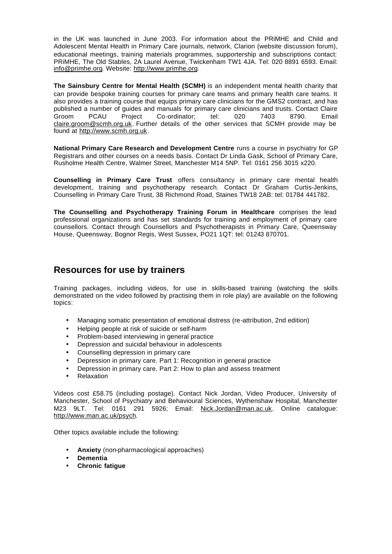in the UK was launched in June 2003. For information about the PRiMHE and Child and Adolescent Mental Health in Primary Care journals, network, Clarion (website discussion forum), educational meetings, training materials programmes, supportership and subscriptions contact: PRiMHE, The Old Stables, 2A Laurel Avenue, Twickenham TW1 4JA. Tel: 020 8891 6593. Email: info@primhe.org. Website: http://www.primhe.org.

**The Sainsbury Centre for Mental Health (SCMH)** is an independent mental health charity that can provide bespoke training courses for primary care teams and primary health care teams. It also provides a training course that equips primary care clinicians for the GMS2 contract, and has published a number of guides and manuals for primary care clinicians and trusts. Contact Claire Groom PCAU Project Co-ordinator; tel: 020 7403 8790. Email claire.groom@scmh.org.uk. Further details of the other services that SCMH provide may be found at http://www.scmh.org.uk.

**National Primary Care Research and Development Centre** runs a course in psychiatry for GP Registrars and other courses on a needs basis. Contact Dr Linda Gask, School of Primary Care, Rusholme Health Centre, Walmer Street, Manchester M14 5NP. Tel: 0161 256 3015 x220.

**Counselling in Primary Care Trust** offers consultancy in primary care mental health development, training and psychotherapy research. Contact Dr Graham Curtis-Jenkins, Counselling in Primary Care Trust, 38 Richmond Road, Staines TW18 2AB: tel: 01784 441782.

**The Counselling and Psychotherapy Training Forum in Healthcare** comprises the lead professional organizations and has set standards for training and employment of primary care counsellors. Contact through Counsellors and Psychotherapists in Primary Care, Queensway House, Queensway, Bognor Regis, West Sussex, PO21 1QT: tel: 01243 870701.

## **Resources for use by trainers**

Training packages, including videos, for use in skills-based training (watching the skills demonstrated on the video followed by practising them in role play) are available on the following topics:

- Managing somatic presentation of emotional distress (re-attribution, 2nd edition)
- Helping people at risk of suicide or self-harm
- Problem-based interviewing in general practice
- Depression and suicidal behaviour in adolescents
- Counselling depression in primary care
- Depression in primary care. Part 1: Recognition in general practice
- Depression in primary care. Part 2: How to plan and assess treatment
- **Relaxation**

Videos cost £58.75 (including postage). Contact Nick Jordan, Video Producer, University of Manchester, School of Psychiatry and Behavioural Sciences, Wythenshaw Hospital, Manchester M23 9LT. Tel: 0161 291 5926; Email: Nick.Jordan@man.ac.uk. Online catalogue: http://www.man.ac.uk/psych.

Other topics available include the following:

- **Anxiety** (non-pharmacological approaches)
- **Dementia**
- **Chronic fatigue**